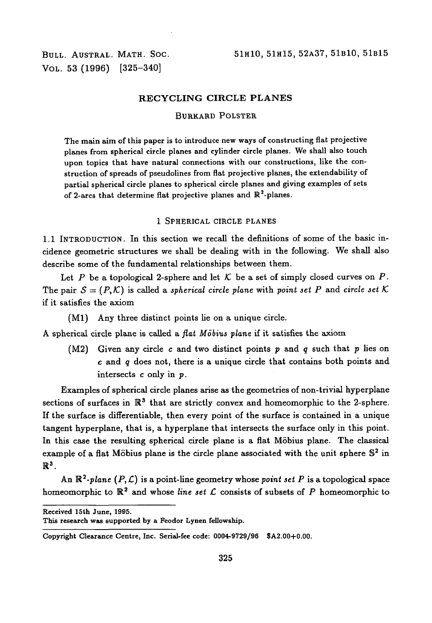VOL. 53 (1996) [325-340]

#### **RECYCLING CIRCLE PLANES**

#### BURKARD POLSTER

The main aim of this paper is to introduce new ways of constructing flat projective planes from spherical circle planes and cylinder circle planes. We shall also touch upon topics that have natural connections with our constructions, like the construction of spreads of pseudolines from flat projective planes, the extendability of partial spherical circle planes to spherical circle planes and giving examples of sets of 2-arcs that determine flat projective planes and  $\mathbb{R}^2$ -planes.

#### 1 SPHERICAL CIRCLE PLANES

1.1 INTRODUCTION. In this section we recall the definitions of some of the basic incidence geometric structures we shall be dealing with in the following. We shall also describe some of the fundamental relationships between them.

Let P be a topological 2-sphere and let  $K$  be a set of simply closed curves on P. The pair  $S = (P, K)$  is called a *spherical circle plane* with *point set P* and *circle set* K if it satisfies the axiom

(Ml) Any three distinct points lie on a unique circle.

A spherical circle plane is called a *flat Mobius plane* if it satisfies the axiom

(M2) Given any circle c and two distinct points *p* and *q* such that *p* lies on c and *q* does not, there is a unique circle that contains both points and intersects c only in p.

Examples of spherical circle planes arise as the geometries of non-trivial hyperplane sections of surfaces in  $\mathbb{R}^3$  that are strictly convex and homeomorphic to the 2-sphere. If the surface is differentiable, then every point of the surface is contained in a unique tangent hyperplane, that is, a hyperplane that intersects the surface only in this point. In this case the resulting spherical circle plane is a flat Mobius plane. The classical example of a flat Möbius plane is the circle plane associated with the unit sphere  $\mathbb{S}^2$  in  $\mathbb{R}^3$  .

An  $\mathbb{R}^2$ -plane  $(P, \mathcal{L})$  is a point-line geometry whose *point set*  $P$  is a topological space homeomorphic to R<sup>2</sup> and whose *line set C* consists of subsets of *P* homeomorphic to

**Received 15th June, 1995.**

**This research was supported by a Feodor Lynen fellowship.**

**Copyright Clearance Centre, Inc. Serial-fee code: 0004-9729/96 SA2.00+0.00.**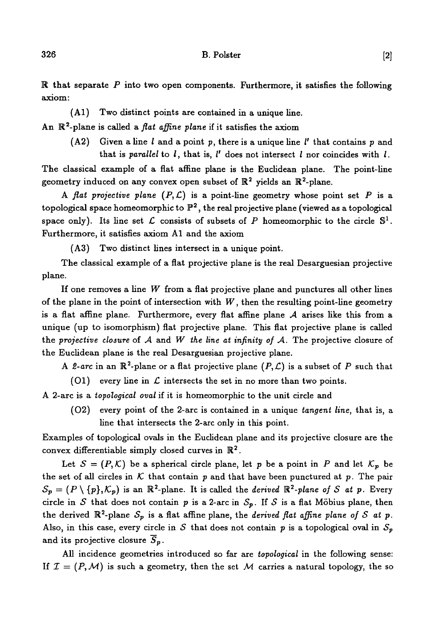R that separate *P* into two open components. Furthermore, it satisfies the following axiom:

(Al) Two distinct points are contained in a unique line.

An R<sup>2</sup> -plane is called a *flat affine plane* if it satisfies the axiom

(A2) Given a line l and a point p, there is a unique line  $l'$  that contains p and that is *parallel* to /, that is, /' does not intersect *I* nor coincides with *I.*

The classical example of a flat affine plane is the Euclidean plane. The point-line geometry induced on any convex open subset of  $\mathbb{R}^2$  yields an  $\mathbb{R}^2$ -plane.

A *flat projective plane*  $(P, \mathcal{L})$  is a point-line geometry whose point set P is a topological space homeomorphic to  $\mathbb{P}^2,$  the real projective plane (viewed as a topological space only). Its line set  $\mathcal L$  consists of subsets of  $P$  homeomorphic to the circle  $\mathbb S^1$ . Furthermore, it satisfies axiom Al and the axiom

(A3) Two distinct lines intersect in a unique point.

The classical example of a flat projective plane is the real Desarguesian projective plane.

If one removes a line *W* from a flat projective plane and punctures all other lines of the plane in the point of intersection with *W*, then the resulting point-line geometry is a flat affine plane. Furthermore, every flat affine plane *A* arises like this from a unique (up to isomorphism) flat projective plane. This flat projective plane is called the *projective closure* of *A* and *W the line at infinity of A.* The projective closure of the Euclidean plane is the real Desarguesian projective plane.

A 2-arc in an  $\mathbb{R}^2$ -plane or a flat projective plane  $(P, \mathcal{L})$  is a subset of P such that

(01) every line in *£* intersects the set in no more than two points.

A 2-arc is a *topoiogical oval* if it is homeomorphic to the unit circle and

(02) every point of the 2-arc is contained in a unique *tangent line,* that is, a line that intersects the 2-arc only in this point.

Examples of topological ovals in the Euclidean plane and its projective closure are the convex differentiable simply closed curves in  $\mathbb{R}^2$ .

Let  $S = (P, K)$  be a spherical circle plane, let p be a point in P and let  $K_p$  be the set of all circles in  $K$  that contain p and that have been punctured at p. The pair  $S_p = (P \setminus \{p\}, \mathcal{K}_p)$  is an  $\mathbb{R}^2$ -plane. It is called the *derived*  $\mathbb{R}^2$ -plane of S at p. Every circle in *S* that does not contain *p* is a 2-arc in  $S_p$ . If *S* is a flat Möbius plane, then the derived  $\mathbb{R}^2$ -plane  $S_p$  is a flat affine plane, the *derived flat affine plane of* S at p. Also, in this case, every circle in S that does not contain p is a topological oval in  $S_p$ and its projective closure *Sp*.

All incidence geometries introduced so far are *topological* in the following sense: If  $\mathcal{I} = (P, \mathcal{M})$  is such a geometry, then the set  $\mathcal{M}$  carries a natural topology, the so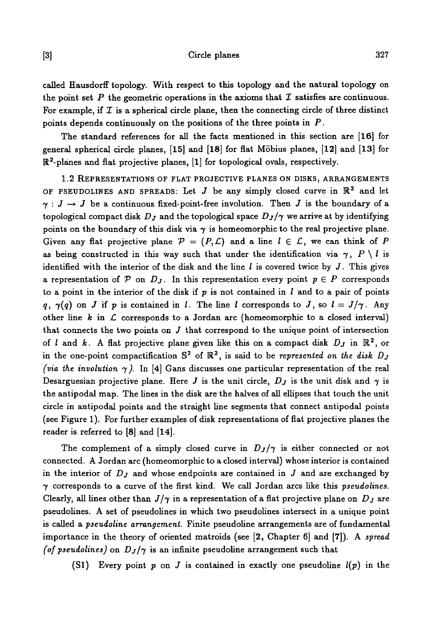# [3] Circle planes 327

called Hausdorff topology. With respect to this topology and the natural topology on the point set  $P$  the geometric operations in the axioms that  $I$  satisfies are continuous. For example, if  $\mathcal I$  is a spherical circle plane, then the connecting circle of three distinct points depends continuously on the positions of the three points in *P.*

The standard references for all the facts mentioned in this section are [16] for general spherical circle planes, [15] and [18] for flat Mobius planes, [12] and [13] for  $\mathbb{R}^2$ -planes and flat projective planes,  $[1]$  for topological ovals, respectively.

1.2 REPRESENTATIONS OF FLAT PROJECTIVE PLANES ON DISKS, ARRANGEMENTS OF PSEUDOLINES AND SPREADS: Let  $J$  be any simply closed curve in  $\mathbb{R}^2$  and let  $\gamma : J \to J$  be a continuous fixed-point-free involution. Then J is the boundary of a topological compact disk  $D_j$  and the topological space  $D_j/\gamma$  we arrive at by identifying points on the boundary of this disk via  $\gamma$  is homeomorphic to the real projective plane. Given any flat projective plane  $P = (P, \mathcal{L})$  and a line  $l \in \mathcal{L}$ , we can think of P as being constructed in this way such that under the identification via  $\gamma$ ,  $P \setminus l$  is identified with the interior of the disk and the line  $l$  is covered twice by  $J$ . This gives a representation of  $P$  on  $D_J$ . In this representation every point  $p \in P$  corresponds to a point in the interior of the disk if *p* is not contained in / and to a pair of points  $q, \gamma(q)$  on J if p is contained in *l*. The line *l* corresponds to J, so  $l = J/\gamma$ . Any other line *k in C* corresponds to a Jordan arc (homeomorphic to a closed interval) that connects the two points on  $J$  that correspond to the unique point of intersection of *l* and *k*. A flat projective plane given like this on a compact disk  $D<sub>J</sub>$  in  $\mathbb{R}^2$ , or in the one-point compactification  $\mathbb{S}^2$  of  $\mathbb{R}^2$ , is said to be *represented on the disk D<sub>j</sub> (via the involution*  $\gamma$ ). In [4] Gans discusses one particular representation of the real Desarguesian projective plane. Here *J* is the unit circle,  $D_J$  is the unit disk and  $\gamma$  is the antipodal map. The lines in the disk are the halves of all ellipses that touch the unit circle in antipodal points and the straight line segments that connect antipodal points (see Figure 1). For further examples of disk representations of flat projective planes the reader is referred to [8] and [14].

The complement of a simply closed curve in  $D_J/\gamma$  is either connected or not connected. A Jordan arc (homeomorphic to a closed interval) whose interior is contained in the interior of *Dj* and whose endpoints are contained in J and are exchanged by 7 corresponds to a curve of the first kind. We call Jordan arcs like this *pseudolines.* Clearly, all lines other than  $J/\gamma$  in a representation of a flat projective plane on  $D_J$  are pseudolines. A set of pseudolines in which two pseudolines intersect in a unique point is called a *pseudoline arrangement.* Finite pseudoline arrangements are of fundamental importance in the theory of oriented matroids (see [2, Chapter 6] and [7]). A *spread (of pseudolines)* on  $D_J/\gamma$  is an infinite pseudoline arrangement such that

(Si) Every point *p* on J is contained in exactly one pseudoline *l(p)* in the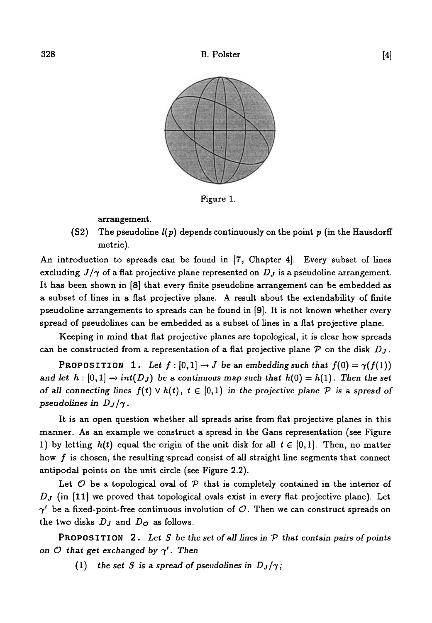

Figure 1.

arrangement.

(S2) The pseudoline *l(p)* depends continuously on the point *p* (in the Hausdorff metric).

An introduction to spreads can be found in [7, Chapter 4]. Every subset of lines excluding  $J/\gamma$  of a flat projective plane represented on  $D_J$  is a pseudoline arrangement. It has been shown in [8] that every finite pseudoline arrangement can be embedded as a subset of lines in a flat projective plane. A result about the extendability of finite pseudoline arrangements to spreads can be found in [9]. It is not known whether every spread of pseudolines can be embedded as a subset of lines in a flat projective plane.

Keeping in mind that flat projective planes are topological, it is clear how spreads can be constructed from a representation of a flat projective plane  $P$  on the disk  $D<sub>J</sub>$ .

**PROPOSITION** 1. Let  $f : [0,1] \rightarrow J$  be an embedding such that  $f(0) = \gamma(f(1))$ and let  $h : [0,1] \to int(D_J)$  be a continuous map such that  $h(0) = h(1)$ . Then the set *of all connecting lines*  $f(t) \vee h(t)$ ,  $t \in [0,1)$  *in the projective plane*  $P$  *is a spread of pseudolines in*  $D_J/\gamma$ *.* 

It is an open question whether all spreads arise from flat projective planes in this manner. As an example we construct a spread in the Gans representation (see Figure 1) by letting  $h(t)$  equal the origin of the unit disk for all  $t \in [0,1]$ . Then, no matter how  $f$  is chosen, the resulting spread consist of all straight line segments that connect antipodal points on the unit circle (see Figure 2.2).

Let *O* be a topological oval of *V* that is completely contained in the interior of *D<sub>J</sub>* (in [11] we proved that topological ovals exist in every flat projective plane). Let  $\gamma'$  be a fixed-point-free continuous involution of  $\mathcal O$ . Then we can construct spreads on the two disks *Dj* and *Do* as follows.

**PROPOSITION** 2. Let S be the set of all lines in  $P$  that contain pairs of points *on*  $\mathcal O$  *that get exchanged by*  $\gamma'$ . Then

(1) the set S is a spread of pseudolines in  $D_J/\gamma$ ;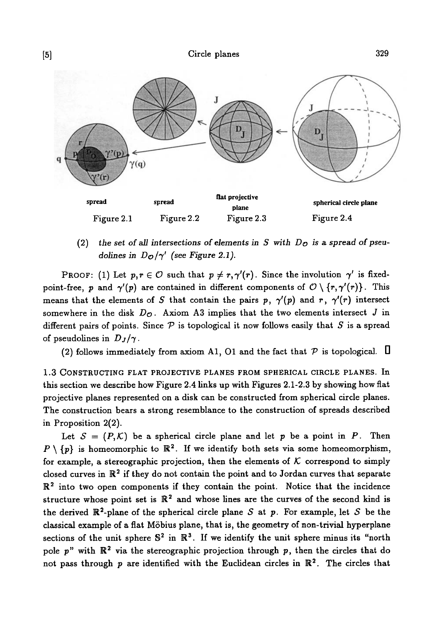

(2) *the set of all intersections of elements in S with Do is* a *spread of pseudolines in*  $D_{\mathcal{O}}/\gamma'$  *(see Figure 2.1).* 

PROOF: (1) Let  $p, r \in \mathcal{O}$  such that  $p \neq r, \gamma'(r)$ . Since the involution  $\gamma'$  is fixedpoint-free, p and  $\gamma'(p)$  are contained in different components of  $\mathcal{O} \setminus \{r, \gamma'(r)\}\$ . This means that the elements of S that contain the pairs p,  $\gamma'(p)$  and r,  $\gamma'(r)$  intersect somewhere in the disk  $D_{\mathcal{O}}$ . Axiom A3 implies that the two elements intersect  $J$  in different pairs of points. Since *V* is topological it now follows easily that *S* is a spread of pseudolines in  $D_J/\gamma$ .

(2) follows immediately from axiom A1, O1 and the fact that  $P$  is topological.  $\Pi$ 

1.3 CONSTRUCTING FLAT PROJECTIVE PLANES FROM SPHERICAL CIRCLE PLANES. In this section we describe how Figure 2.4 links up with Figures 2.1-2.3 by showing how flat projective planes represented on a disk can be constructed from spherical circle planes. The construction bears a strong resemblance to the construction of spreads described in Proposition 2(2).

Let  $S = (P,K)$  be a spherical circle plane and let p be a point in P. Then  $P \setminus \{p\}$  is homeomorphic to  $\mathbb{R}^2$ . If we identify both sets via some homeomorphism, for example, a stereographic projection, then the elements of  $K$  correspond to simply closed curves in  $\mathbb{R}^2$  if they do not contain the point and to Jordan curves that separate  $\mathbb{R}^2$  into two open components if they contain the point. Notice that the incidence structure whose point set is  $\mathbb{R}^2$  and whose lines are the curves of the second kind is the derived  $\mathbb{R}^2$ -plane of the spherical circle plane S at p. For example, let S be the classical example of a flat Mobius plane, that is, the geometry of non-trivial hyperplane sections of the unit sphere  $\mathbb{S}^2$  in  $\mathbb{R}^3$ . If we identify the unit sphere minus its "north pole p" with  $\mathbb{R}^2$  via the stereographic projection through p, then the circles that do not pass through p are identified with the Euclidean circles in  $\mathbb{R}^2$ . The circles that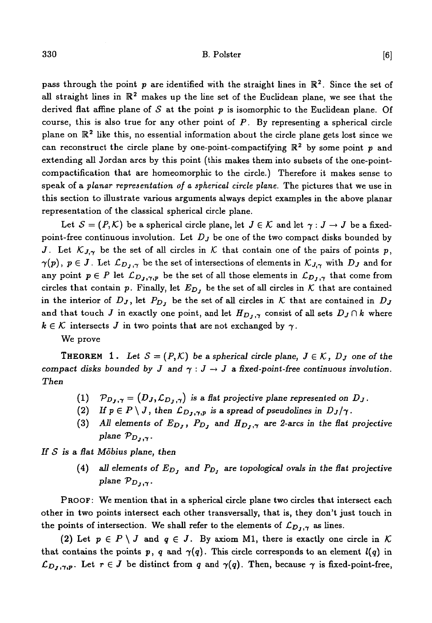# $330$  B. Polster [6]

pass through the point  $p$  are identified with the straight lines in  $\mathbb{R}^2$ . Since the set of all straight lines in  $\mathbb{R}^2$  makes up the line set of the Euclidean plane, we see that the derived flat affine plane of S at the point p is isomorphic to the Euclidean plane. Of course, this is also true for any other point of  $P$ . By representing a spherical circle plane on  $\mathbb{R}^2$  like this, no essential information about the circle plane gets lost since we can reconstruct the circle plane by one-point-compactifying  $\mathbb{R}^2$  by some point p and extending all Jordan arcs by this point (this makes them into subsets of the one-pointcompactification that are homeomorphic to the circle.) Therefore it makes sense to speak of a *planar representation of a spherical circle plane.* The pictures that we use in this section to illustrate various arguments always depict examples in the above planar representation of the classical spherical circle plane.

Let  $S = (P, K)$  be a spherical circle plane, let  $J \in K$  and let  $\gamma : J \to J$  be a fixedpoint-free continuous involution. Let *Dj* be one of the two compact disks bounded by *J.* Let  $K_{J,\gamma}$  be the set of all circles in K that contain one of the pairs of points p,  $\gamma(p), p \in J$ . Let  $\mathcal{L}_{D_J,\gamma}$  be the set of intersections of elements in  $\mathcal{K}_{J,\gamma}$  with  $D_J$  and for any point  $p \in P$  let  $\mathcal{L}_{D_J,\gamma,p}$  be the set of all those elements in  $\mathcal{L}_{D_J,\gamma}$  that come from circles that contain p. Finally, let  $E_{D_j}$  be the set of all circles in  $K$  that are contained in the interior of  $D_J$ , let  $P_{D_J}$  be the set of all circles in K that are contained in  $D_J$ and that touch *J* in exactly one point, and let  $H_{D_1,\gamma}$  consist of all sets  $D_J \cap k$  where  $k \in \mathcal{K}$  intersects *J* in two points that are not exchanged by  $\gamma$ .

We prove

**THEOREM** 1. Let  $S = (P, K)$  be a spherical circle plane,  $J \in K$ ,  $D_J$  one of the *compact disks bounded by J and*  $\gamma : J \to J$  a fixed-point-free continuous involution. *Then*

- $(1)$   $\mathcal{P}_{D_J,\gamma} = (D_J, \mathcal{L}_{D_J,\gamma})$  is a flat projective plane represented on  $D_J$ .
- (2) If  $p \in P \setminus J$ , then  $\mathcal{L}_{D_J,\gamma,p}$  is a spread of pseudolines in  $D_J/\gamma$ .
- (3) *All elements of EDJ , PDJ* and *HD}* ,-r are *2-arcs in the Sat projective plane*  $\mathcal{P}_{D_J,\gamma}$ .

*If S is* a *flat Mobius plane, then*

(4) all elements of  $E_{D_j}$  and  $P_{D_j}$  are topological ovals in the flat projective plane  $\mathcal{P}_{D_J,\gamma}$ .

PROOF: We mention that in a spherical circle plane two circles that intersect each other in two points intersect each other transversally, that is, they don't just touch in the points of intersection. We shall refer to the elements of  $\mathcal{L}_{D_J,\gamma}$  as lines.

(2) Let  $p \in P \setminus J$  and  $q \in J$ . By axiom M1, there is exactly one circle in K. that contains the points p, q and  $\gamma(q)$ . This circle corresponds to an element  $l(q)$  in  $\mathcal{L}_{D_J,\gamma,p}$ . Let  $r \in J$  be distinct from q and  $\gamma(q)$ . Then, because  $\gamma$  is fixed-point-free,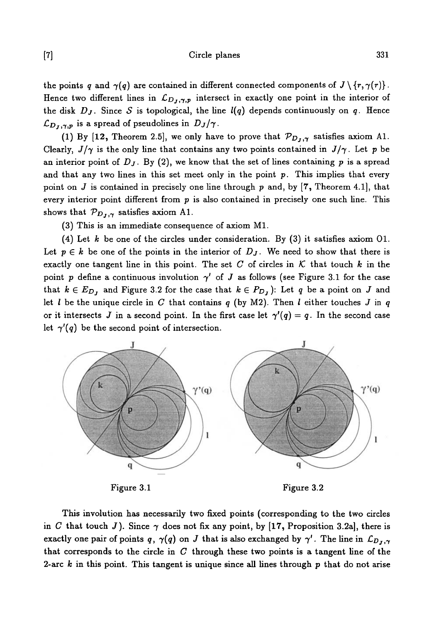[7] Circle planes 331

the points q and  $\gamma(q)$  are contained in different connected components of  $J \setminus \{r, \gamma(r)\}\$ . Hence two different lines in  $\mathcal{L}_{D_J,\gamma,p}$  intersect in exactly one point in the interior of the disk *Dj.* Since *S* is topological, the line *l(q)* depends continuously on *q.* Hence  $\mathcal{L}_{D_J,\gamma,p}$  is a spread of pseudolines in  $D_J/\gamma$ .

(1) By [12, Theorem 2.5], we only have to prove that  $\mathcal{P}_{D_J,\gamma}$  satisfies axiom A1. Clearly,  $J/\gamma$  is the only line that contains any two points contained in  $J/\gamma$ . Let p be an interior point of  $D_J$ . By  $(2)$ , we know that the set of lines containing p is a spread and that any two lines in this set meet only in the point  $p$ . This implies that every point on *J* is contained in precisely one line through p and, by [7, Theorem 4.1], that every interior point different from  $p$  is also contained in precisely one such line. This shows that  $\mathcal{P}_{D_J,\gamma}$  satisfies axiom A1.

(3) This is an immediate consequence of axiom Ml.

(4) Let *k* be one of the circles under consideration. By (3) it satisfies axiom 01. Let  $p \in k$  be one of the points in the interior of  $D<sub>J</sub>$ . We need to show that there is exactly one tangent line in this point. The set C of circles in K that touch  $k$  in the point p define a continuous involution  $\gamma'$  of J as follows (see Figure 3.1 for the case that  $k \in E_{D_j}$  and Figure 3.2 for the case that  $k \in P_{D_j}$ ): Let q be a point on J and let *I* be the unique circle in C that contains *q* (by M2). Then *I* either touches *J* in *q* or it intersects J in a second point. In the first case let  $\gamma'(q) = q$ . In the second case let  $\gamma'(q)$  be the second point of intersection.



Figure 3.1

Figure 3.2

This involution has necessarily two fixed points (corresponding to the two circles in C that touch J). Since  $\gamma$  does not fix any point, by [17, Proposition 3.2a], there is exactly one pair of points q,  $\gamma(q)$  on J that is also exchanged by  $\gamma'$ . The line in  $\mathcal{L}_{D_1,\gamma}$ that corresponds to the circle in *C* through these two points is a tangent line of the 2-arc *k* in this point. This tangent is unique since all lines through p that do not arise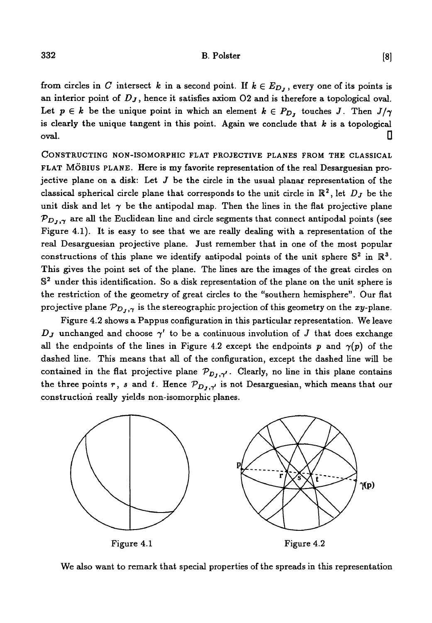from circles in C intersect k in a second point. If  $k \in E_{D_i}$ , every one of its points is an interior point of *Dj*, hence it satisfies axiom 02 and is therefore a topological oval. Let  $p \in k$  be the unique point in which an element  $k \in P_{D_j}$  touches J. Then  $J/\gamma$ is clearly the unique tangent in this point. Again we conclude that  $k$  is a topological oval. D

CONSTRUCTING NON-ISOMORPHIC FLAT PROJECTIVE PLANES FROM THE CLASSICAL FLAT MÖBIUS PLANE. Here is my favorite representation of the real Desarguesian projective plane on a disk: Let *J* be the circle in the usual planar representation of the classical spherical circle plane that corresponds to the unit circle in  $\mathbb{R}^2$ , let  $D_J$  be the unit disk and let  $\gamma$  be the antipodal map. Then the lines in the flat projective plane  $\mathcal{P}_{D_J,\gamma}$  are all the Euclidean line and circle segments that connect antipodal points (see Figure 4.1). It is easy to see that we are really dealing with a representation of the real Desarguesian projective plane. Just remember that in one of the most popular constructions of this plane we identify antipodal points of the unit sphere  $\mathbb{S}^2$  in  $\mathbb{R}^3$ . This gives the point set of the plane. The lines are the images of the great circles on S<sup>2</sup> under this identification. So a disk representation of the plane on the unit sphere is the restriction of the geometry of great circles to the "southern hemisphere". Our flat projective plane  $\mathcal{P}_{D_J,\gamma}$  is the stereographic projection of this geometry on the xy-plane.

Figure 4.2 shows a Pappus configuration in this particular representation. We leave  $D_J$  unchanged and choose  $\gamma'$  to be a continuous involution of J that does exchange all the endpoints of the lines in Figure 4.2 except the endpoints p and  $\gamma(p)$  of the dashed line. This means that all of the configuration, except the dashed line will be contained in the flat projective plane  $\mathcal{P}_{D_1,\gamma'}$ . Clearly, no line in this plane contains the three points r, *s* and t. Hence  $\mathcal{P}_{D_j, \gamma'}$  is not Desarguesian, which means that our construction really yields non-isomorphic planes.



We also want to remark that special properties of the spreads in this representation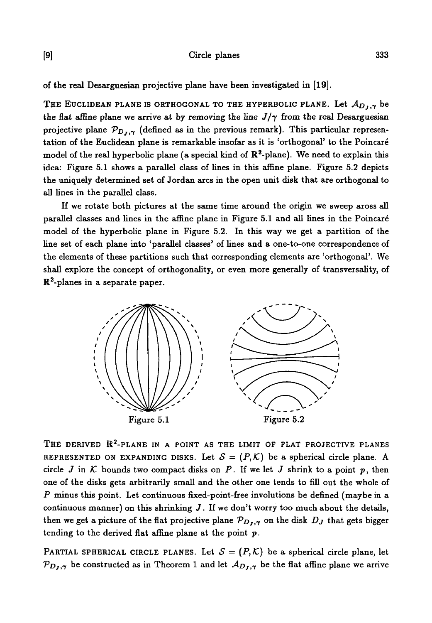of the real Desarguesian projective plane have been investigated in [19].

THE EUCLIDEAN PLANE IS ORTHOGONAL TO THE HYPERBOLIC PLANE. Let  $A_{D_1,\gamma}$  be the flat affine plane we arrive at by removing the line  $J/\gamma$  from the real Desarguesian projective plane  $\mathcal{P}_{D_I,\gamma}$  (defined as in the previous remark). This particular representation of the Euclidean plane is remarkable insofar as it is 'orthogonal' to the Poincare model of the real hyperbolic plane (a special kind of  $\mathbb{R}^2$ -plane). We need to explain this idea: Figure  $5.1$  shows a parallel class of lines in this affine plane. Figure  $5.2$  depicts the uniquely determined set of Jordan arcs in the open unit disk that are orthogonal to all lines in the parallel class.

If we rotate both pictures at the same time around the origin we sweep aross all parallel classes and lines in the affine plane in Figure 5.1 and all lines in the Poincaré model of the hyperbolic plane in Figure 5.2. In this way we get a partition of the line set of each plane into 'parallel classes' of lines and a one-to-one correspondence of the elements of these partitions such that corresponding elements are 'orthogonal'. We shall explore the concept of orthogonality, or even more generally of transversality, of  $\mathbb{R}^2$ -planes in a separate paper.



THE DERIVED  $\mathbb{R}^2$ -PLANE IN A POINT AS THE LIMIT OF FLAT PROJECTIVE PLANES REPRESENTED ON EXPANDING DISKS. Let  $S = (P, K)$  be a spherical circle plane. A circle  $J$  in  $K$  bounds two compact disks on  $P$ . If we let  $J$  shrink to a point  $p$ , then one of the disks gets arbitrarily small and the other one tends to fill out the whole of *P* minus this point. Let continuous fixed-point-free involutions be defined (maybe in a continuous manner) on this shrinking *J.* If we don't worry too much about the details, then we get a picture of the flat projective plane  $\mathcal{P}_{D_J,\gamma}$  on the disk  $D_J$  that gets bigger tending to the derived flat affine plane at the point  $p$ .

PARTIAL SPHERICAL CIRCLE PLANES. Let  $S = (P, K)$  be a spherical circle plane, let  $\mathcal{P}_{D_J,\gamma}$  be constructed as in Theorem 1 and let  $\mathcal{A}_{D_J,\gamma}$  be the flat affine plane we arrive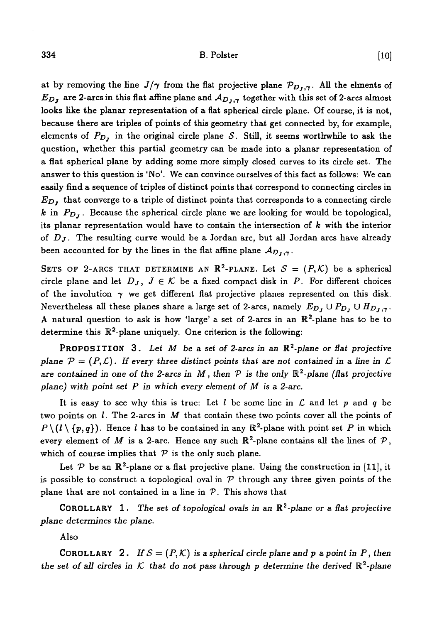## $334$  B. Polster  $\qquad \qquad \textbf{B. Poster}$  [10]

at by removing the line  $J/\gamma$  from the flat projective plane  $\mathcal{P}_{D_J,\gamma}$ . All the elments of  $E_D$ , are 2-arcs in this flat affine plane and  $A_{D_1,\gamma}$  together with this set of 2-arcs almost looks like the planar representation of a flat spherical circle plane. Of course, it is not, because there are triples of points of this geometry that get connected by, for example, elements of  $P_{D_I}$  in the original circle plane S. Still, it seems worthwhile to ask the question, whether this partial geometry can be made into a planar representation of a flat spherical plane by adding some more simply closed curves to its circle set. The answer to this question is 'No'. We can convince ourselves of this fact as follows: We can easily find a sequence of triples of distinct points that correspond to connecting circles in *EDJ* that converge to a triple of distinct points that corresponds to a connecting circle  $k$  in  $P_{D_i}$ . Because the spherical circle plane we are looking for would be topological, its planar representation would have to contain the intersection of *k* with the interior of *Dj.* The resulting curve would be a Jordan arc, but all Jordan arcs have already been accounted for by the lines in the flat affine plane  $A_{D_{I},\gamma}$ .

SETS OF 2-ARCS THAT DETERMINE AN  $\mathbb{R}^2$ -PLANE. Let  $\mathcal{S} = (P, \mathcal{K})$  be a spherical circle plane and let  $D_J$ ,  $J \in \mathcal{K}$  be a fixed compact disk in P. For different choices of the involution  $\gamma$  we get different flat projective planes represented on this disk. Nevertheless all these planes share a large set of 2-arcs, namely  $E_D$ ,  $\cup P_D$ ,  $\cup H_{D_J,\gamma}$ . A natural question to ask is how 'large' a set of 2-arcs in an  $\mathbb{R}^2$ -plane has to be to determine this  $\mathbb{R}^2$ -plane uniquely. One criterion is the following:

PROPOSITION 3. Let M be a set of 2-arcs in an  $\mathbb{R}^2$ -plane or flat projective *plane*  $\mathcal{P} = (P, \mathcal{L})$ . If every three distinct points that are not contained in a line in  $\mathcal{L}$ are contained in one of the 2-arcs in  $M$ , then  $P$  is the only  $\mathbb{R}^2$ -plane (flat projective *plane) with point set P in which every element of M is* a *2-arc.*

It is easy to see why this is true: Let *I* be some line in *C* and let *p* and *q* be two points on /. The 2-arcs in *M* that contain these two points cover all the points of  $P \setminus (l \setminus \{p, q\})$ . Hence *l* has to be contained in any  $\mathbb{R}^2$ -plane with point set *P* in which every element of  $M$  is a 2-arc. Hence any such  $\mathbb{R}^2$ -plane contains all the lines of  $\mathcal{P},$ which of course implies that  $P$  is the only such plane.

Let  $P$  be an  $\mathbb{R}^2$ -plane or a flat projective plane. Using the construction in [11], it is possible to construct a topological oval in  $P$  through any three given points of the plane that are not contained in a line in *V.* This shows that

COROLLARY 1. The set *of topological ovals in an* R<sup>2</sup> -plane *or* a *fiat projective plane determines the plane.*

Also

**COROLLARY** 2. *If*  $S = (P, K)$  is a spherical circle plane and p a point in P, then the set of all circles in  $K$  that do not pass through p determine the derived  $\mathbb{R}^2$ -plane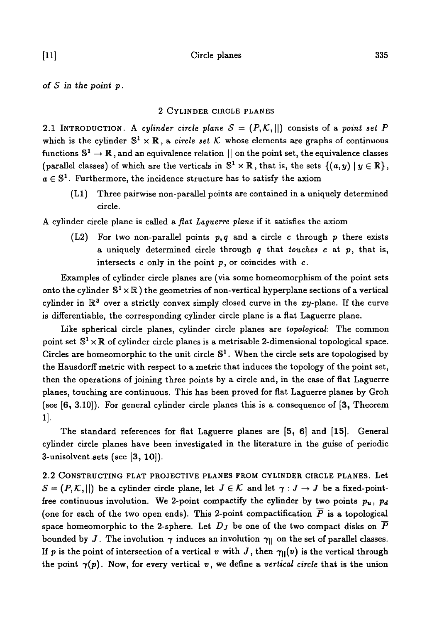*of S in the point p.*

## 2 CYLINDER CIRCLE PLANES

2.1 INTRODUCTION. A cylinder circle plane  $S = (P, K, ||)$  consists of a point set P which is the cylinder  $\mathbb{S}^1 \times \mathbb{R}$ , a *circle set* K whose elements are graphs of continuous functions  $\mathbb{S}^1\to\mathbb{R}$  , and an equivalence relation  $||$  on the point set, the equivalence classes (parallel classes) of which are the verticals in  $\mathbb{S}^1 \times \mathbb{R}$ , that is, the sets  $\{(a, y) | y \in \mathbb{R}\},$  $a \in \mathbb{S}^1$ . Furthermore, the incidence structure has to satisfy the axiom

(LI) Three pairwise non-parallel points are contained in a uniquely determined circle.

A cylinder circle plane is called a *flat Laguerre plane* if it satisfies the axiom

(L2) For two non-parallel points *p, q* and a circle c through p there exists a uniquely determined circle through *q* that *touches c* at p, that is, intersects  $c$  only in the point  $p$ , or coincides with  $c$ .

Examples of cylinder circle planes are (via some homeomorphism of the point sets onto the cylinder  $\mathbb{S}^1\times\mathbb{R}$  ) the geometries of non-vertical hyperplane sections of a vertical cylinder in  $\mathbb{R}^3$  over a strictly convex simply closed curve in the  $xy$ -plane. If the curve is differentiable, the corresponding cylinder circle plane is a flat Laguerre plane.

Like spherical circle planes, cylinder circle planes are *topological:* The common point set  $\mathbb{S}^1\times\mathbb{R}$  of cylinder circle planes is a metrisable 2-dimensional topological space. Circles are homeomorphic to the unit circle  $\mathbb{S}^1$ . When the circle sets are topologised by the Hausdorff metric with respect to a metric that induces the topology of the point set, then the operations of joining three points by a circle and, in the case of flat Laguerre planes, touching are continuous. This has been proved for flat Laguerre planes by Groh (see [6, 3.10]). For general cylinder circle planes this is a consequence of [3, Theorem 1]-

The standard references for flat Laguerre planes are [5, 6] and [15]. General cylinder circle planes have been investigated in the literature in the guise of periodic 3-unisolvent.sets (see [3, 10]).

2.2 CONSTRUCTING FLAT PROJECTIVE PLANES FROM CYLINDER CIRCLE PLANES. Let  $S = (P, K, ||)$  be a cylinder circle plane, let  $J \in K$  and let  $\gamma : J \to J$  be a fixed-pointfree continuous involution. We 2-point compactify the cylinder by two points  $p_u$ ,  $p_d$ (one for each of the two open ends). This 2-point compactification  $\overline{P}$  is a topological space homeomorphic to the 2-sphere. Let  $D_J$  be one of the two compact disks on  $\overline{P}$ bounded by *J*. The involution  $\gamma$  induces an involution  $\gamma_{\parallel}$  on the set of parallel classes. If p is the point of intersection of a vertical v with J, then  $\gamma_{\parallel}(v)$  is the vertical through the point  $\gamma(p)$ . Now, for every vertical v, we define a vertical circle that is the union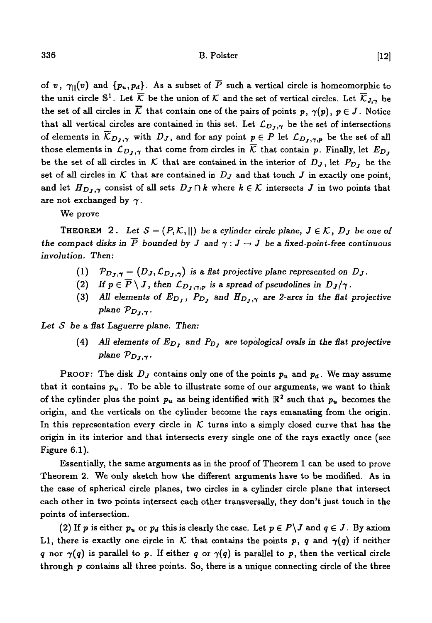of v,  $\gamma_{\parallel}(v)$  and  $\{p_u, p_d\}$ . As a subset of  $\overline{P}$  such a vertical circle is homeomorphic to the unit circle  $\mathbb{S}^1$ . Let  $\overline{\mathcal{K}}$  be the union of  $\mathcal K$  and the set of vertical circles. Let  $\overline{\mathcal{K}}_{J,\boldsymbol{\gamma}}$  be the set of all circles in  $\overline{K}$  that contain one of the pairs of points p,  $\gamma(p)$ ,  $p \in J$ . Notice that all vertical circles are contained in this set. Let  $\mathcal{L}_{D_J,\gamma}$  be the set of intersections of elements in  $\overline{K}_{D_J,\gamma}$  with  $D_J$ , and for any point  $p \in P$  let  $\mathcal{L}_{D_J,\gamma,p}$  be the set of all those elements in  $\mathcal{L}_{D_J,\gamma}$  that come from circles in  $\overline{\mathcal{K}}$  that contain p. Finally, let  $E_{D_J}$ be the set of all circles in K that are contained in the interior of  $D_J$ , let  $P_{D_J}$  be the set of all circles in  $K$  that are contained in  $D_J$  and that touch  $J$  in exactly one point, and let  $H_{D_J,\gamma}$  consist of all sets  $D_J \cap k$  where  $k \in \mathcal{K}$  intersects *J* in two points that are not exchanged by  $\gamma$ .

We prove

**THEOREM** 2. Let  $S = (P, K, ||)$  be a cylinder circle plane,  $J \in K$ ,  $D_J$  be one of the compact disks in  $\overline{P}$  bounded by  $J$  and  $\gamma: J \to J$  be a fixed-point-free continuous *involution. Then:*

- (1)  $\mathcal{P}_{D_J,\gamma} = (D_J, \mathcal{L}_{D_J,\gamma})$  *is a flat projective plane represented on D<sub>J</sub>.*
- (2) If  $p \in \overline{P} \setminus J$ , then  $\mathcal{L}_{D_J,\gamma,p}$  is a spread of pseudolines in  $D_J/\gamma$ .
- (3) All elements of  $E_{D_J}$ ,  $P_{D_J}$  and  $H_{D_J,\gamma}$  are 2-arcs in the flat projective *plane*  $\mathcal{P}_{D_1,\gamma}$ .

*Let S be a fiat Laguerre plane. Then:*

(4) All elements of  $E_{D_j}$  and  $P_{D_j}$  are topological ovals in the flat projective *plane Voj,y*

**PROOF:** The disk  $D_j$  contains only one of the points  $p_u$  and  $p_d$ . We may assume that it contains  $p_u$ . To be able to illustrate some of our arguments, we want to think of the cylinder plus the point  $p_u$  as being identified with  $\mathbb{R}^2$  such that  $p_u$  becomes the origin, and the verticals on the cylinder become the rays emanating from the origin. In this representation every circle in  $K$  turns into a simply closed curve that has the origin in its interior and that intersects every single one of the rays exactly once (see Figure 6.1).

Essentially, the same arguments as in the proof of Theorem 1 can be used to prove Theorem 2. We only sketch how the different arguments have to be modified. As in the case of spherical circle planes, two circles in a cylinder circle plane that intersect each other in two points intersect each other transversally, they don't just touch in the points of intersection.

(2) If p is either  $p_u$  or  $p_d$  this is clearly the case. Let  $p \in P\setminus J$  and  $q \in J$ . By axiom L1, there is exactly one circle in K that contains the points p, q and  $\gamma(q)$  if neither *q* nor  $\gamma(q)$  is parallel to p. If either *q* or  $\gamma(q)$  is parallel to p, then the vertical circle through  $p$  contains all three points. So, there is a unique connecting circle of the three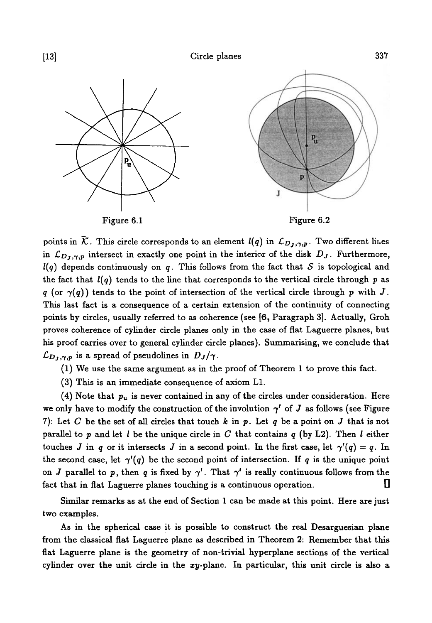

points in  $\overline{\mathcal{K}}$ . This circle corresponds to an element  $l(q)$  in  $\mathcal{L}_{D_J,\gamma,p}$ . Two different lines in  $\mathcal{L}_{D_J,\gamma,p}$  intersect in exactly one point in the interior of the disk  $D_J$ . Furthermore, *l(q)* depends continuously on *q.* This follows from the fact that *S* is topological and the fact that  $l(q)$  tends to the line that corresponds to the vertical circle through p as *q* (or  $\gamma(q)$ ) tends to the point of intersection of the vertical circle through p with J. This last fact is a consequence of a certain extension of the continuity of connecting points by circles, usually referred to as coherence (see [6, Paragraph 3]. Actually, Groh proves coherence of cylinder circle planes only in the case of flat Laguerre planes, but his proof carries over to general cylinder circle planes). Summarising, we conclude that  $\mathcal{L}_{D_J,\gamma,p}$  is a spread of pseudolines in  $D_J/\gamma$ .

(1) We use the same argument as in the proof of Theorem 1 to prove this fact.

(3) This is an immediate consequence of axiom LI.

(4) Note that *pu* is never contained in any of the circles under consideration. Here we only have to modify the construction of the involution  $\gamma'$  of J as follows (see Figure 7): Let C be the set of all circles that touch  $k$  in  $p$ . Let  $q$  be a point on  $J$  that is not parallel to p and let / be the unique circle in *C* that contains *q* (by L2). Then / either touches *J* in *q* or it intersects *J* in a second point. In the first case, let  $\gamma'(q) = q$ . In the second case, let  $\gamma'(q)$  be the second point of intersection. If q is the unique point on *J* parallel to p, then q is fixed by  $\gamma'$ . That  $\gamma'$  is really continuous follows from the fact that in flat Laguerre planes touching is a continuous operation.

Similar remarks as at the end of Section 1 can be made at this point. Here are just two examples.

As in the spherical case it is possible to construct the real Desarguesian plane from the classical flat Laguerre plane as described in Theorem 2: Remember that this flat Laguerre plane is the geometry of non-trivial hyperplane sections of the vertical cylinder over the unit circle in the  $xy$ -plane. In particular, this unit circle is also a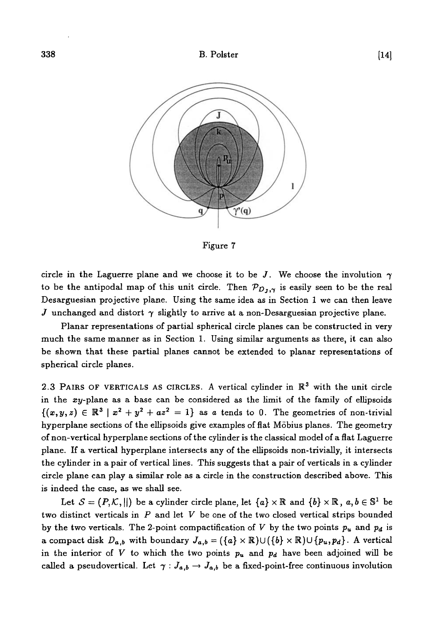

Figure 7

circle in the Laguerre plane and we choose it to be *J*. We choose the involution  $\gamma$ to be the antipodal map of this unit circle. Then  $\mathcal{P}_{D_J,\gamma}$  is easily seen to be the real Desarguesian projective plane. Using the same idea as in Section 1 we can then leave J unchanged and distort  $\gamma$  slightly to arrive at a non-Desarguesian projective plane.

Planar representations of partial spherical circle planes can be constructed in very much the same manner as in Section 1. Using similar arguments as there, it can also be shown that these partial planes cannot be extended to planar representations of spherical circle planes.

2.3 PAIRS OF VERTICALS AS CIRCLES. A vertical cylinder in  $\mathbb{R}^3$  with the unit circle in the xy-plane as a base can be considered as the limit of the family of ellipsoids  $\{(x,y,z)\in\mathbb{R}^3\mid x^2+y^2+az^2=1\}$  as a tends to 0. The geometries of non-trivial hyperplane sections of the ellipsoids give examples of flat Mobius planes. The geometry of non-vertical hyperplane sections of the cylinder is the classical model of a flat Laguerre plane. If a vertical hyperplane intersects any of the ellipsoids non-trivially, it intersects the cylinder in a pair of vertical lines. This suggests that a pair of verticals in a cylinder circle plane can play a similar role as a circle in the construction described above. This is indeed the case, as we shall see.

Let  $S = (P, \mathcal{K}, ||)$  be a cylinder circle plane, let  $\{a\} \times \mathbb{R}$  and  $\{b\} \times \mathbb{R}$ ,  $a, b \in \mathbb{S}^1$  be two distinct verticals in *P* and let *V* be one of the two closed vertical strips bounded by the two verticals. The 2-point compactification of  $V$  by the two points  $p_u$  and  $p_d$  is a compact disk  $D_{a,b}$  with boundary  $J_{a,b} = (\{a\} \times \mathbb{R}) \cup (\{b\} \times \mathbb{R}) \cup \{p_u, p_d\}$ . A vertical in the interior of V to which the two points  $p_u$  and  $p_d$  have been adjoined will be called a pseudovertical. Let  $\gamma: J_{a,b} \to J_{a,b}$  be a fixed-point-free continuous involution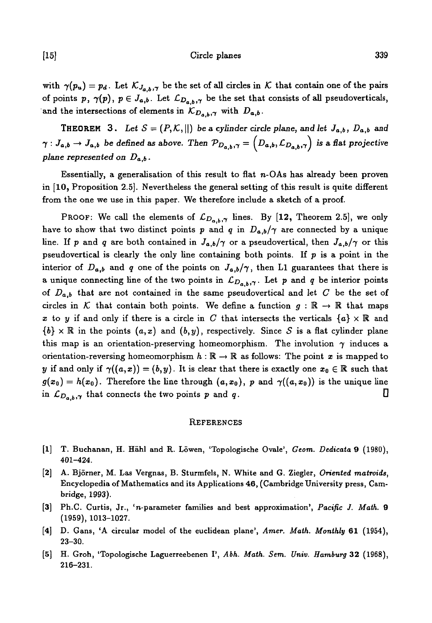## [15] Circle planes 339

with  $\gamma(p_u) = p_d$ . Let  $\mathcal{K}_{J_{a,b},\gamma}$  be the set of all circles in  $\mathcal K$  that contain one of the pairs of points p,  $\gamma(p)$ ,  $p \in J_{a,b}$ . Let  $\mathcal{L}_{D_{a,b},\gamma}$  be the set that consists of all pseudoverticals, and the intersections of elements in  $\mathcal{K}_{D_{a,b},\gamma}$  with  $D_{a,b}$ .

**THEOREM** 3. Let  $S = (P, K, ||)$  be a cylinder circle plane, and let  $J_{a,b}$ ,  $D_{a,b}$  and  $\gamma: J_{a,b}\to J_{a,b}$  be defined as above. Then  $\mathcal{P}_{D_{a,b},\gamma} = (D_{a,b}, \mathcal{L}_{D_{a,b},\gamma})$  is a flat projective *plane represented on Da,b •*

Essentially, a generalisation of this result to flat  $n$ -OAs has already been proven in [10, Proposition 2.5]. Nevertheless the general setting of this result is quite different from the one we use in this paper. We therefore include a sketch of a proof.

PROOF: We call the elements of  $\mathcal{L}_{D_{a,b},\gamma}$  lines. By [12, Theorem 2.5], we only have to show that two distinct points p and q in  $D_{a,b}/\gamma$  are connected by a unique line. If p and q are both contained in  $J_{a,b}/\gamma$  or a pseudovertical, then  $J_{a,b}/\gamma$  or this pseudovertical is clearly the only line containing both points. If  $p$  is a point in the interior of  $D_{a,b}$  and q one of the points on  $J_{a,b}/\gamma$ , then L1 guarantees that there is a unique connecting line of the two points in  $\mathcal{L}_{D_{a,b},\gamma}$ . Let p and q be interior points of *Da,b* that are not contained in the same pseudovertical and let *C* be the set of circles in K that contain both points. We define a function  $g : \mathbb{R} \to \mathbb{R}$  that maps x to y if and only if there is a circle in C that intersects the verticals  ${a} \times \mathbb{R}$  and  ${b} \times \mathbb{R}$  in the points  $(a, x)$  and  $(b, y)$ , respectively. Since S is a flat cylinder plane this map is an orientation-preserving homeomorphism. The involution  $\gamma$  induces a orientation-reversing homeomorphism  $h : \mathbb{R} \to \mathbb{R}$  as follows: The point x is mapped to *y* if and only if  $\gamma((a,x)) = (b,y)$ . It is clear that there is exactly one  $x_0 \in \mathbb{R}$  such that  $g(x_0) = h(x_0)$ . Therefore the line through  $(a, x_0)$ , p and  $\gamma((a, x_0))$  is the unique line in  $\mathcal{L}_{D_{a,b},\gamma}$  that connects the two points p and q.

#### **REFERENCES**

- [1] T. Buchanan, H. Hähl and R. Löwen, 'Topologische Ovale', Geom. Dedicata 9 (1980), 401-424.
- [2] A. Bjorner, M. Las Vergnas, B. Sturmfels, N. White and G. Ziegler, *Oriented matroids,* Encyclopedia of Mathematics and its Applications 46, (Cambridge University press, Cambridge, 1993).
- [3] Ph.C. Curtis, Jr., 'n-parameter families and best approximation', *Pacific J. Math.* 9 (1959), 1013-1027.
- [4] D. Gans, 'A circular model of the euclidean plane', *Amer. Math. Monthly* 61 (1954), 23-30.
- [5] H. Groh, 'Topologische Laguerreebenen I', *Abh. Math. Sem. Univ. Hamburg* 32 (1968), 216-231.